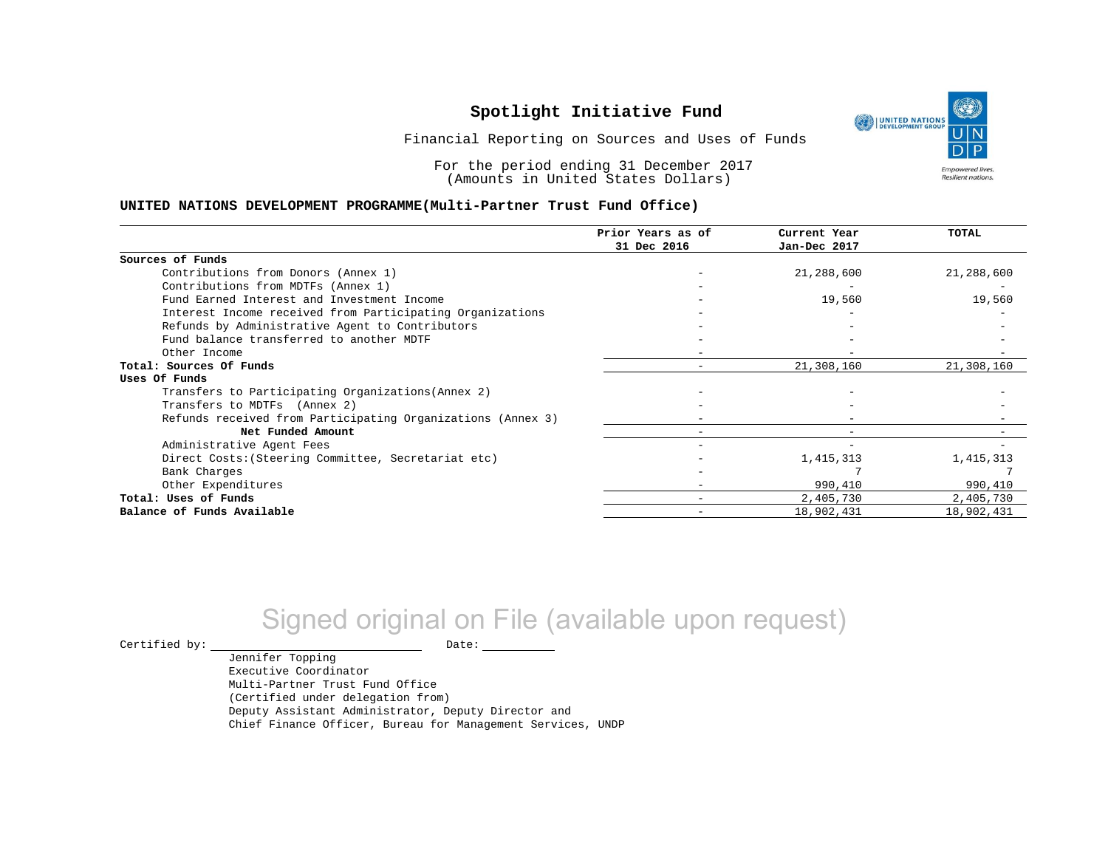

Financial Reporting on Sources and Uses of Funds

For the period ending 31 December 2017 (Amounts in United States Dollars)

#### **UNITED NATIONS DEVELOPMENT PROGRAMME(Multi-Partner Trust Fund Office)**

|                                                             | Prior Years as of | Current Year | <b>TOTAL</b> |
|-------------------------------------------------------------|-------------------|--------------|--------------|
|                                                             | 31 Dec 2016       | Jan-Dec 2017 |              |
| Sources of Funds                                            |                   |              |              |
| Contributions from Donors (Annex 1)                         |                   | 21,288,600   | 21,288,600   |
| Contributions from MDTFs (Annex 1)                          |                   |              |              |
| Fund Earned Interest and Investment Income                  |                   | 19,560       | 19,560       |
| Interest Income received from Participating Organizations   |                   |              |              |
| Refunds by Administrative Agent to Contributors             |                   |              |              |
| Fund balance transferred to another MDTF                    |                   |              |              |
| Other Income                                                |                   |              |              |
| Total: Sources Of Funds                                     |                   | 21,308,160   | 21,308,160   |
| Uses Of Funds                                               |                   |              |              |
| Transfers to Participating Organizations (Annex 2)          |                   |              |              |
| Transfers to MDTFs (Annex 2)                                |                   |              |              |
| Refunds received from Participating Organizations (Annex 3) |                   |              |              |
| Net Funded Amount                                           |                   |              |              |
| Administrative Agent Fees                                   |                   |              |              |
| Direct Costs: (Steering Committee, Secretariat etc)         |                   | 1,415,313    | 1,415,313    |
| Bank Charges                                                |                   |              |              |
| Other Expenditures                                          |                   | 990,410      | 990,410      |
| Total: Uses of Funds                                        |                   | 2,405,730    | 2,405,730    |
| Balance of Funds Available                                  |                   | 18,902,431   | 18,902,431   |

# Signed original on File (available upon request)

 $\begin{picture}(180,180)(0,0) \put(0,0){\vector(1,0){180}} \put(15,0){\vector(1,0){180}} \put(15,0){\vector(1,0){180}} \put(15,0){\vector(1,0){180}} \put(15,0){\vector(1,0){180}} \put(15,0){\vector(1,0){180}} \put(15,0){\vector(1,0){180}} \put(15,0){\vector(1,0){180}} \put(15,0){\vector(1,0){180}} \put(15,0){\vector(1,0){180}} \put(15,0){\vector(1,0$ 

Jennifer Topping Executive Coordinator Multi-Partner Trust Fund Office (Certified under delegation from) Deputy Assistant Administrator, Deputy Director and Chief Finance Officer, Bureau for Management Services, UNDP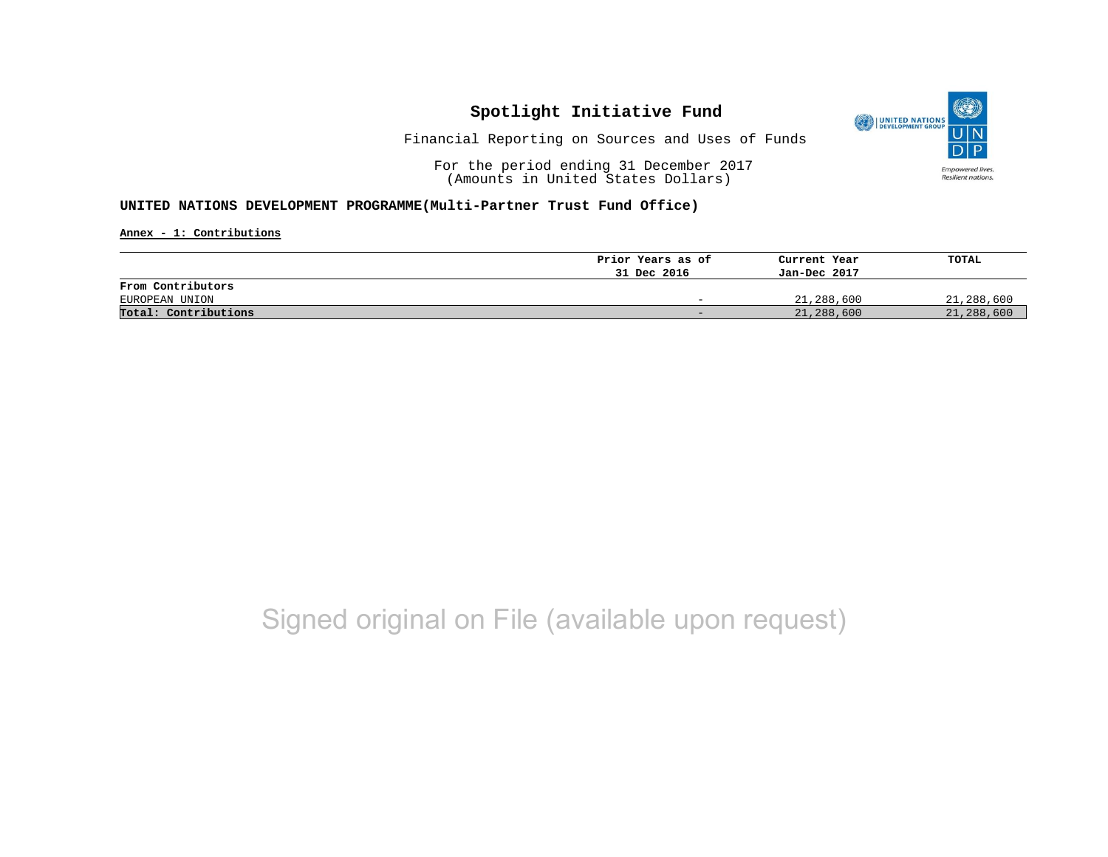

Financial Reporting on Sources and Uses of Funds

For the period ending 31 December 2017 (Amounts in United States Dollars)

#### **UNITED NATIONS DEVELOPMENT PROGRAMME(Multi-Partner Trust Fund Office)**

**Annex - 1: Contributions**

|                      | Prior Years as of        | Current Year | TOTAL      |
|----------------------|--------------------------|--------------|------------|
|                      | 31 Dec 2016              | Jan-Dec 2017 |            |
| From Contributors    |                          |              |            |
| EUROPEAN UNION       | $\overline{\phantom{0}}$ | 21,288,600   | 21,288,600 |
| Total: Contributions | $-$                      | 21,288,600   | 21,288,600 |

## Signed original on File (available upon request)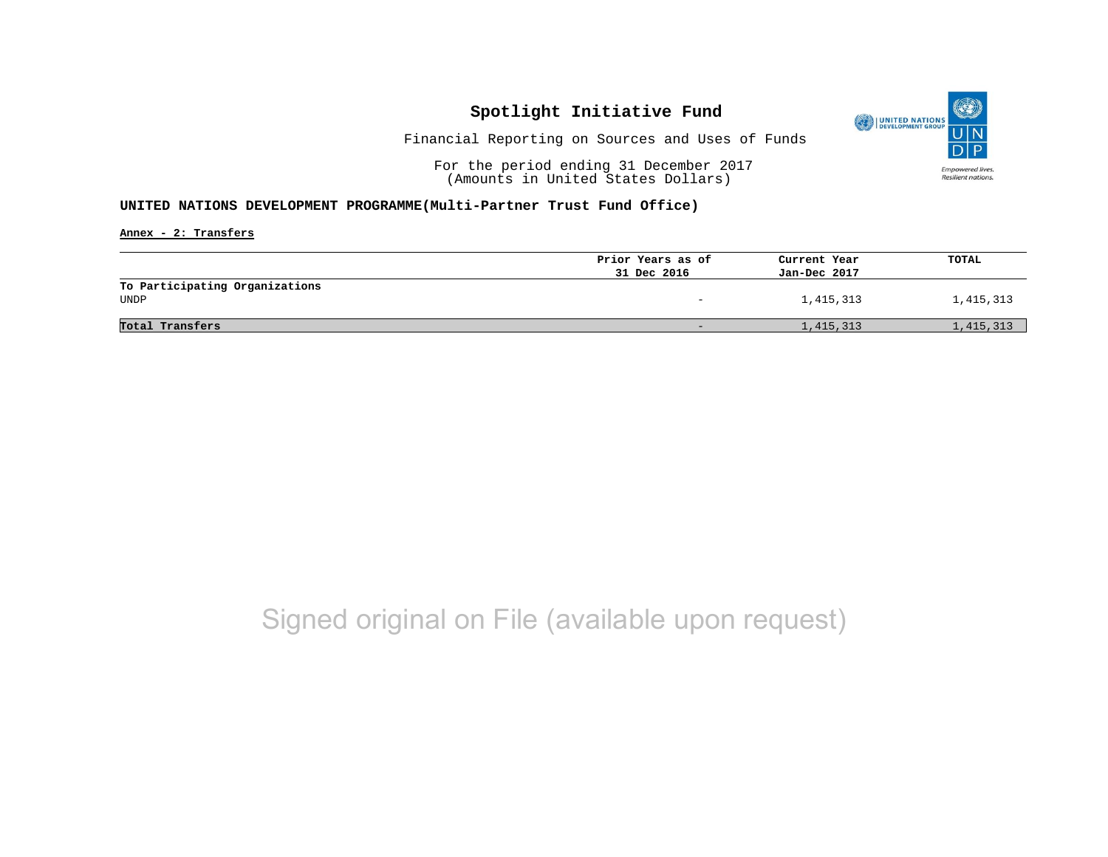

Financial Reporting on Sources and Uses of Funds

For the period ending 31 December 2017 (Amounts in United States Dollars)

#### **UNITED NATIONS DEVELOPMENT PROGRAMME(Multi-Partner Trust Fund Office)**

**Annex - 2: Transfers**

|                                | Prior Years as of | Current Year | TOTAL     |
|--------------------------------|-------------------|--------------|-----------|
|                                | 31 Dec 2016       | Jan-Dec 2017 |           |
| To Participating Organizations |                   |              |           |
| UNDP                           | -                 | 1,415,313    | 1,415,313 |
|                                |                   |              |           |
| Total Transfers                | -                 | 1,415,313    | 1,415,313 |
|                                |                   |              |           |

## Signed original on File (available upon request)